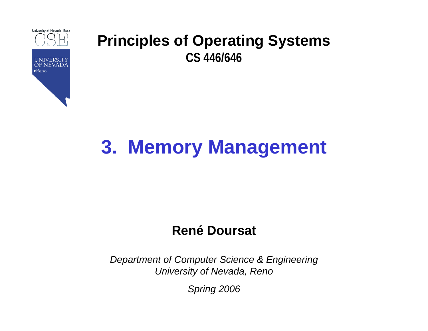

# **3. Memory Management**

### **René Doursat**

*Department of Computer Science & Engineering University of Nevada, Reno*

*Spring 2006*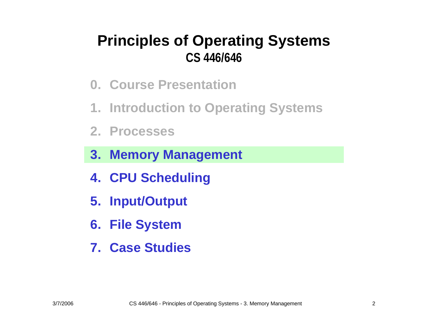- **0. Course Presentation**
- **1. Introduction to Operating Systems**
- **2. Processes**
- **3. Memory Management**
- **4. CPU Scheduling**
- **5. Input/Output**
- **6. File System**
- **7. Case Studies**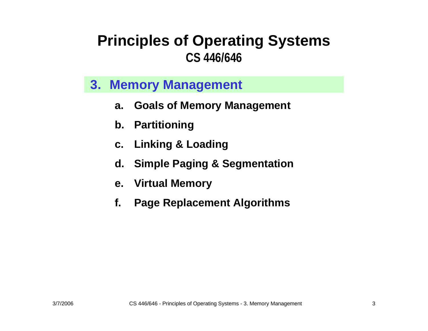#### **3. Memory Management**

- **a.Goals of Memory Management**
- **b. Partitioning**
- **c. Linking & Loading**
- **d. Simple Paging & Segmentation**
- **e. Virtual Memory**
- **f.Page Replacement Algorithms**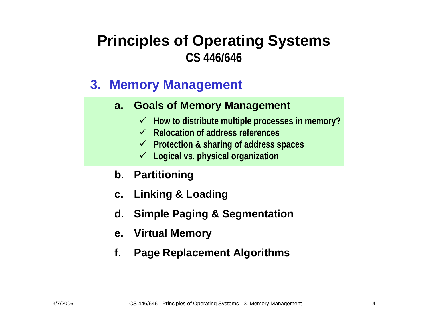### **3. Memory Management**

#### **a. Goals of Memory Management**

- 9 **How to distribute multiple proces s es in m emory?**
- 9 **Relocation of address references**
- 9 **Protection & sharing of address spaces**
- 9 **Logical vs. physical organization**
- **b. Partitioning**
- **c. Linking & Loading**
- **d. Simple Paging & Segmentation**
- **e. Virtual Memory**
- **f.Page Replacement Algorithms**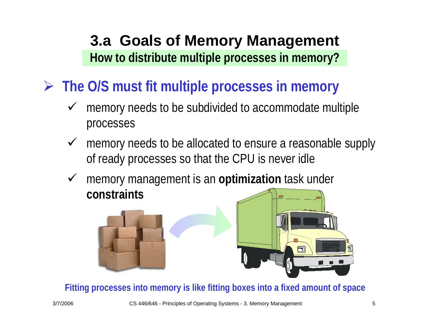### **3.a Goals of Memory Management How to distribute multiple processes in memory?**

¾ **The O/S must fit multiple processes in memory**

- $\checkmark$  memory needs to be subdivided to accommodate multiple processes
- $\checkmark$  memory needs to be allocated to ensure a reasonable supply of ready processes so that the CPU is never idle
- $\checkmark$  memory management is an **optimization** task under **constraints**





**Fitting processes into m emory is like fitting boxes into a fixed a mount of space**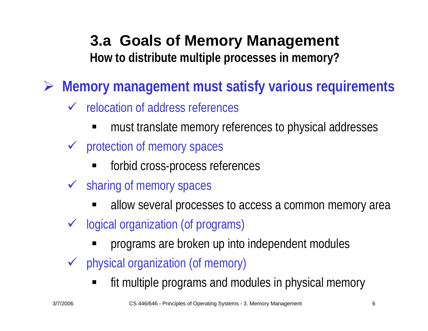### **3.a Goals of Memory Management How to distribute multiple processes in memory?**

¾ **Memory management must satisfy various requirements**

- $\checkmark$  relocation of address references
	- must translate memory references to physical addresses
- $\checkmark$  protection of memory spaces
	- forbid cross-process references
- $\checkmark$  sharing of memory spaces
	- allow several processes to access a common memory area
- $\checkmark$  logical organization (of programs)
	- programs are broken up into independent modules
- $\sqrt{2}$  physical organization (of memory)
	- fit multiple programs and modules in physical memory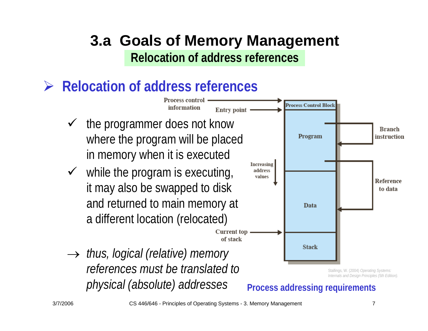### **3.a Goals of Memory Management Relocation of address references**

### ¾ **Relocation of address references**

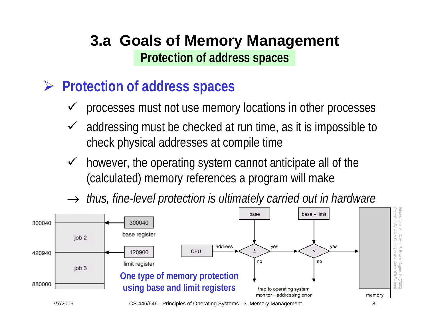### **3.a Goals of Memory Management Protection of address spaces**

### ¾ **Protection of address spaces**

- $\checkmark$ processes must not use memory locations in other processes
- $\checkmark$  addressing must be checked at run time, as it is impossible to check physical addresses at compile time
- $\sqrt{ }$  however, the operating system cannot anticipate all of the (calculated) memory references a program will make
- $\rightarrow \;$  thus, fine-level protection is ultimately carried out in hardware



3/7/2006 CS 446/646 - Principles of Operating Systems - 3. Memory Management 8

Silberschatz, A., Galvin, P. B. and Gagne. G. (2003) *Operating Systems Concepts with Java (6th Edition).*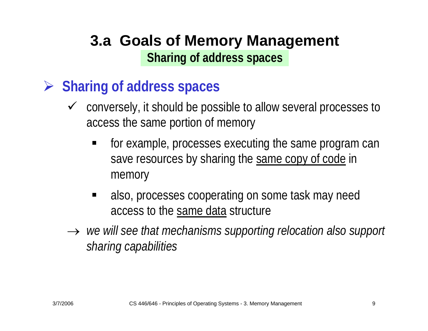### **3.a Goals of Memory Management Sharing of address spaces**

### ¾ **Sharing of address spaces**

- $\checkmark$  conversely, it should be possible to allow several processes to access the same portion of memory
	- $\blacksquare$  for example, processes executing the same program can save resources by sharing the same copy of code in memory
	- $\blacksquare$  also, processes cooperating on some task may need access to the same data structure
- → *we will see that mechanisms supporting relocation also support sharing capabilities*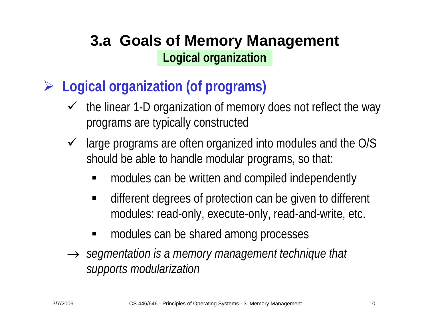### **3.a Goals of Memory Management Logical organization**

- ¾ **Logical organization (of programs)**
	- $\sqrt{ }$  the linear 1-D organization of memory does not reflect the way programs are typically constructed
	- $\sqrt{ }$  large programs are often organized into modules and the O/S should be able to handle modular programs, so that:
		- ٠ modules can be written and compiled independently
		- $\blacksquare$  different degrees of protection can be given to different modules: read-only, execute-only, read-and-write, etc.
		- $\blacksquare$ modules can be shared among processes
	- → *segmentation is a memory management technique that supports modularization*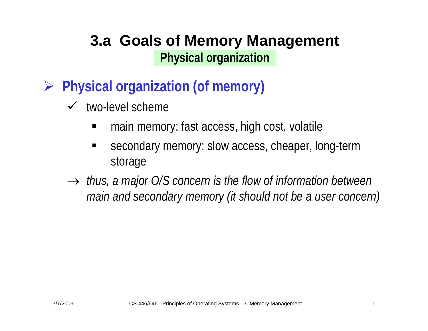### **3.a Goals of Memory Management Physical organization**

- ¾ **Physical organization (of memory)**
	- $\checkmark$  two-level scheme
		- ٠ main memory: fast access, high cost, volatile
		- ٠ secondary memory: slow access, cheaper, long-term storage
	- → *thus, a major O/S concern is the flow of information between main and secondary memory (it should not be a user concern)*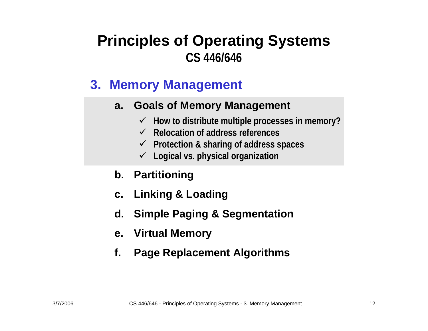### **3. Memory Management**

#### **a. Goals of Memory Management**

- 9 **How to distribute multiple proces s es in m emory?**
- 9 **Relocation of address references**
- 9 **Protection & sharing of address spaces**
- 9 **Logical vs. physical organization**
- **b. Partitioning**
- **c. Linking & Loading**
- **d. Simple Paging & Segmentation**
- **e. Virtual Memory**
- **f.Page Replacement Algorithms**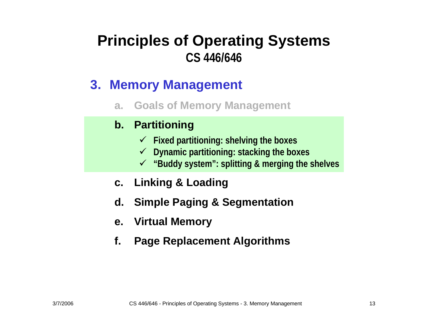### **3. Memory Management**

**a.Goals of Memory Management**

#### **b. Partitioning**

- 9 **Fixed partitioning: shelving the boxes**
- 9 **Dynamic partitioning: stacking the boxes**
- 9 **"Buddy system": splitting & merging the shelves**
- **c. Linking & Loading**
- **d. Simple Paging & Segmentation**
- **e. Virtual Memory**
- **f.Page Replacement Algorithms**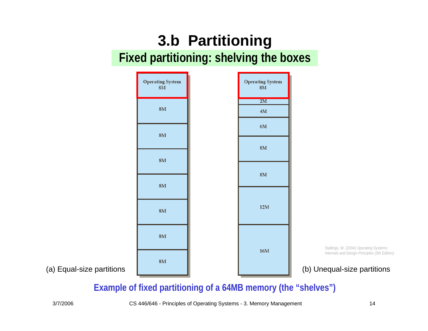### **3.b Partitioning Fixed partitioning: shelving the boxes**

|                           | <b>Operating System</b><br>$8\mathrm{M}$ | <b>Operating System</b><br>$8\mathrm{M}$ |                                                                                                                        |
|---------------------------|------------------------------------------|------------------------------------------|------------------------------------------------------------------------------------------------------------------------|
|                           | $8\mathrm{M}$                            | 2M<br>$4\mathrm{M}$                      |                                                                                                                        |
|                           | $8\mathrm{M}$                            | $6\mbox{M}$                              |                                                                                                                        |
|                           | $8\mathrm{M}$                            | $8\mathrm{M}$                            |                                                                                                                        |
|                           | $8\mathrm{M}$                            | $8\mathrm{M}$                            |                                                                                                                        |
|                           | $8\mathrm{M}$                            | 12M                                      |                                                                                                                        |
|                           | $8\mathrm{M}$                            |                                          |                                                                                                                        |
| (a) Equal-size partitions | $8\mathrm{M}$                            | $16\mathrm{M}$                           | Stallings, W. (2004) Operating Systems:<br>Internals and Design Principles (5th Edition<br>(b) Unequal-size partitions |

Stallings, W. (2004) *Operating Systems: Internals and Design Principles (5th Edition).* 

#### **Example of fixed partitioning of a 64MB memory (the "shelves")**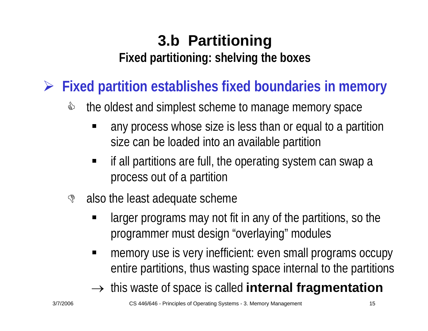### **3.b Partitioning Fixed partitioning: shelving the boxes**

¾ **Fixed partition establishes fixed boundaries in memory**

- & the oldest and simplest scheme to manage memory space
	- ٠ any process whose size is less than or equal to a partition size can be loaded into an available partition
	- if all partitions are full, the operating system can swap a process out of a partition
- $\mathbb{S}$  also the least adequate scheme
	- larger programs may not fit in any of the partitions, so the programmer must design "overlaying" modules
	- $\blacksquare$  memory use is very inefficient: even small programs occupy entire partitions, thus wasting space internal to the partitions
	- $\rightarrow$  this waste of space is called **internal fragmentation**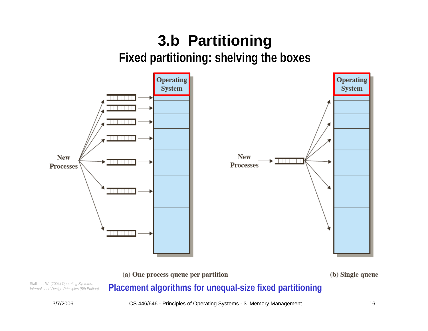## **3.b Partitioning Fixed partitioning: shelving the boxes**



Stallings, W. (2004) *Operating Systems:*<br>Internals and Design Principles (5th Edition). Placement algorithms for unequal-size fixed partitioning

*Internals and Design Principles (5th Edition).*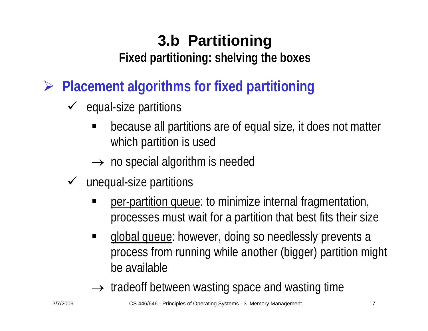## **3.b Partitioning**

**Fixed partitioning: shelving the boxes**

¾ **Placement algorithms for fixed partitioning**

- $\checkmark$  equal-size partitions
	- ٠ because all partitions are of equal size, it does not matter which partition is used
	- $\rightarrow$  no special algorithm is needed
- $\checkmark$  unequal-size partitions
	- per-partition queue: to minimize internal fragmentation, processes must wait for a partition that best fits their size
	- $\blacksquare$  global queue: however, doing so needlessly prevents a process from running while another (bigger) partition might be available
	- $\rightarrow$  tradeoff between wasting space and wasting time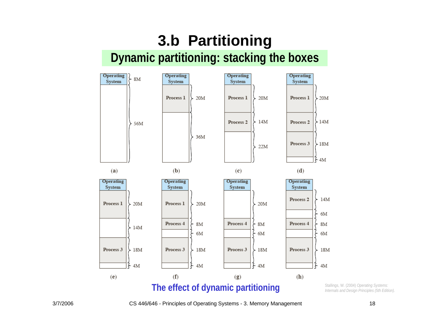

*Internals and Design Principles (5th Edition).* 

3/7/2006 CS 446/646 - Principles of Operating Systems - 3. Memory Management 18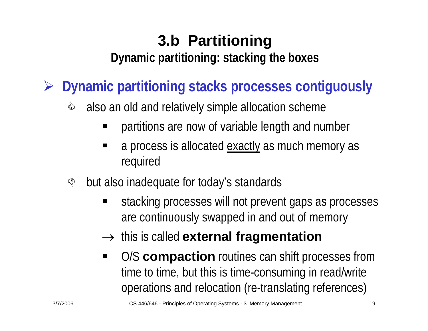¾ **Dynamic partitioning stacks processes contiguously**

- & also an old and relatively simple allocation scheme
	- E partitions are now of variable length and number
	- E a process is allocated exactly as much memory as required
- \$ but also inadequate for today's standards
	- stacking processes will not prevent gaps as processes are continuously swapped in and out of memory
	- → this is called **external fragmentation**
	- O/S **compaction** routines can shift processes from time to time, but this is time-consuming in read/write operations and relocation (re-translating references)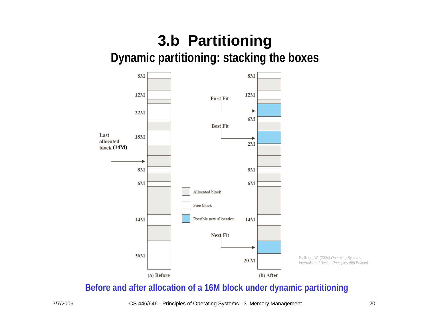

Stallings, W. (2004) *Operating Systems: Internals and Design Principles (5th Edition).* 

**Before and after allocation of a 16M block under dynamic partitioning**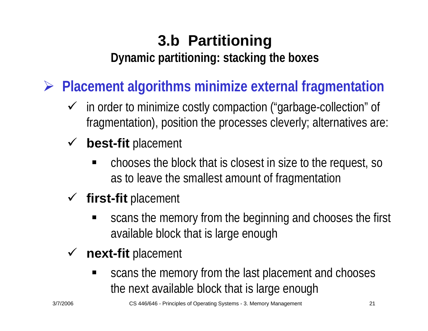¾ **Placement algorithms minimize external fragmentation**

- $\checkmark$  in order to minimize costly compaction ("garbage-collection" of fragmentation), position the processes cleverly; alternatives are:
- **√ best-fit** placement
	- chooses the block that is closest in size to the request, so as to leave the smallest amount of fragmentation
- 9 **first-fit** placement
	- scans the memory from the beginning and chooses the first available block that is large enough
- $\checkmark$  **next-fit** placement
	- scans the memory from the last placement and chooses the next available block that is large enough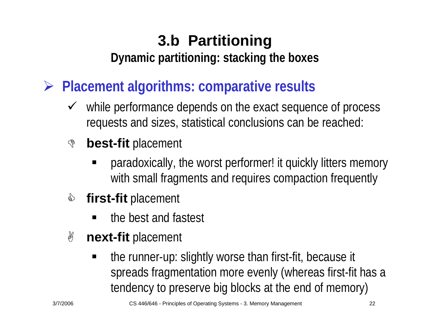¾ **Placement algorithms: comparative results**

 $\sqrt{ }$  while performance depends on the exact sequence of process requests and sizes, statistical conclusions can be reached:

#### $\mathbb{S}$ **best-fit** placement

- paradoxically, the worst performer! it quickly litters memory with small fragments and requires compaction frequently
- </u> **first-fit** placement
	- the best and fastest
- \$ **next-fit** placement
	- the runner-up: slightly worse than first-fit, because it spreads fragmentation more evenly (whereas first-fit has a tendency to preserve big blocks at the end of memory)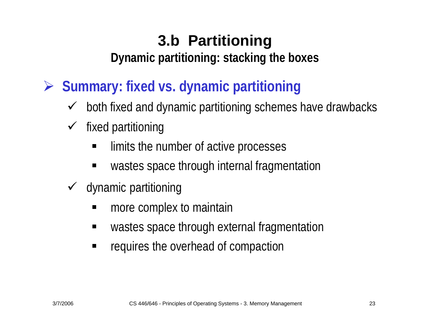# **3.b Partitioning**

**Dynamic partitioning: stacking the boxes**

- ¾ **Summary: fixed vs. dynamic partitioning**
	- $\checkmark$ both fixed and dynamic partitioning schemes have drawbacks
	- $\sqrt{ }$  fixed partitioning
		- limits the number of active processes
		- $\blacksquare$ wastes space through internal fragmentation
	- $\checkmark$  dynamic partitioning
		- ٠ more complex to maintain
		- wastes space through external fragmentation
		- $\blacksquare$ requires the overhead of compaction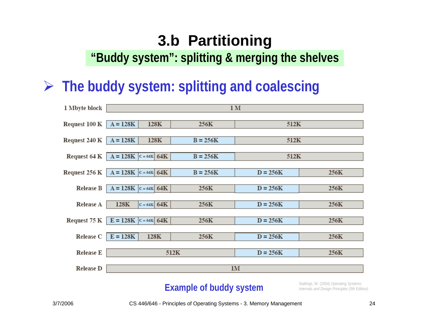## **3.b Partitioning**

**"Buddy system": splitting & merging the shelves**

## ¾ **The buddy system: splitting and coalescing**

| 1 Mbyte block    | 1 <sub>M</sub>                     |               |            |            |      |  |  |  |
|------------------|------------------------------------|---------------|------------|------------|------|--|--|--|
| Request 100 K    | $A = 128K$<br>512K<br>128K<br>256K |               |            |            |      |  |  |  |
| Request 240 K    | $A = 128K$                         | 128K          | $B = 256K$ | 512K       |      |  |  |  |
| Request 64 K     | $A = 128K$                         | $c = 64K$ 64K | $B = 256K$ | 512K       |      |  |  |  |
| Request 256 K    | $A = 128K$                         | $c = 64K$ 64K | $B = 256K$ | $D = 256K$ | 256K |  |  |  |
| <b>Release B</b> | $A = 128K$                         | $c = 64K$ 64K | 256K       | $D = 256K$ | 256K |  |  |  |
| Release A        | 128K                               | $c = 64K$ 64K | 256K       | $D = 256K$ | 256K |  |  |  |
| Request 75 K     | $E = 128K$                         | $c = 64K$ 64K | 256K       | $D = 256K$ | 256K |  |  |  |
| Release C        | $E = 128K$                         | 128K          | 256K       | $D = 256K$ | 256K |  |  |  |
| <b>Release E</b> | 512K                               |               |            | $D = 256K$ | 256K |  |  |  |
| <b>Release D</b> | 1M                                 |               |            |            |      |  |  |  |

#### **Example of buddy system**

Stallings, W. (2004) *Operating Systems: Internals and Design Principles (5th Edition).*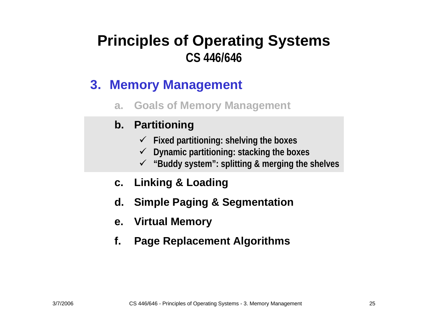### **3. Memory Management**

**a.Goals of Memory Management**

#### **b. Partitioning**

- 9 **Fixed partitioning: shelving the boxes**
- 9 **Dynamic partitioning: stacking the boxes**
- 9 **"Buddy system": splitting & merging the shelves**
- **c. Linking & Loading**
- **d. Simple Paging & Segmentation**
- **e. Virtual Memory**
- **f.Page Replacement Algorithms**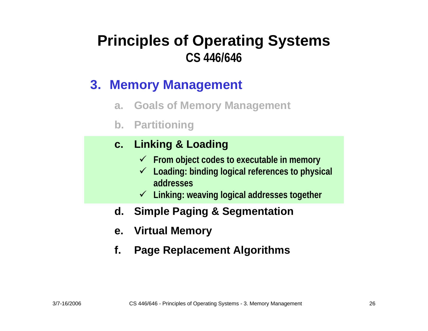### **3. Memory Management**

- **a.Goals of Memory Management**
- **b. Partitioning**

#### **c. Linking & Loading**

- 9 **From object codes to executable i n memory**
- 9 **Loading: binding logical references to physical addresses**
- 9 **Linking: weaving logical addresses together**
- **d. Simple Paging & Segmentation**
- **e. Virtual Memory**
- **f.Page Replacement Algorithms**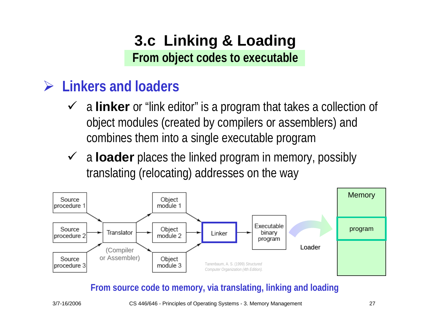### **3.c Linking & Loading From object codes to executable**

### ¾ **Linkers and loaders**

- 9 <sup>a</sup>**linker** or "link editor" is a program that takes a collection of object modules (created by compilers or assemblers) and combines them into a single executable program
- **√** a loader places the linked program in memory, possibly translating (relocating) addresses on the way



#### **From source code to m emory, via translating, linking and loading**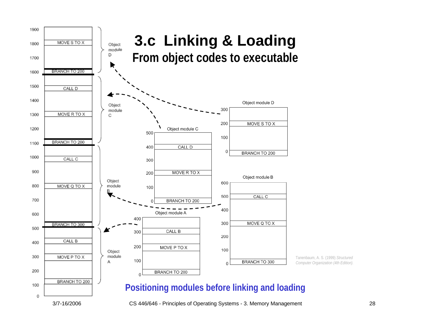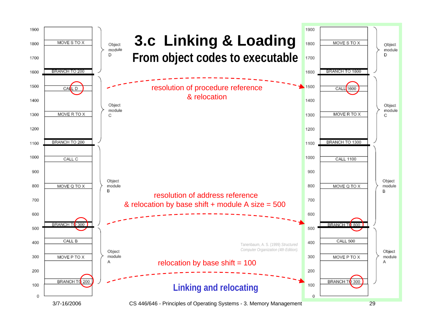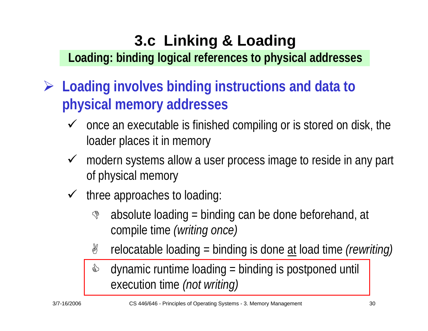## **3.c Linking & Loading**

**Loading: binding logical references to physical addresses**

- ¾ **Loading involves binding instructions and data to physical memory addresses**
	- $\checkmark$  once an executable is finished compiling or is stored on disk, the loader places it in memory
	- $\checkmark$  modern systems allow a user process image to reside in any part of physical memory
	- $\checkmark$  three approaches to loading:
		- $\mathbb{S}$  absolute loading = binding can be done beforehand, at compile time *(writing once)*
		- **P** relocatable loading = binding is done at load time *(rewriting)*
		- </u> dynamic runtime loading = binding is postponed until execution time *(not writing)*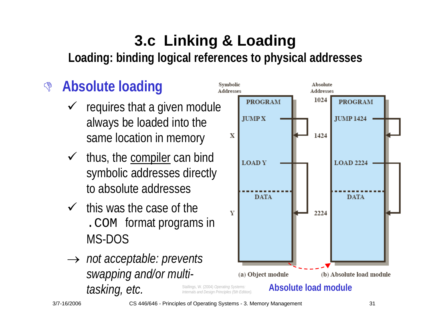## **3.c Linking & Loading Loading: binding logical references to physical addresses**

#### $\mathbb{S}$ **Absolute loading**

- $\checkmark$  requires that a given module always be loaded into the same location in memory
- $\checkmark$  thus, the compiler can bind symbolic addresses directly to absolute addresses
- $\checkmark$  this was the case of the .COM format programs in MS-DOS
- *Internals and Design Principles (5th Edition).*  → *not acceptable: prevents swapping and/or multitasking, etc.*



3/7-16/2006 CS 446/646 - Principles of Operating Systems - 3. Memory Management 31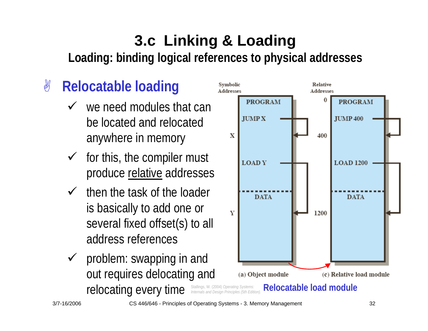## **3.c Linking & Loading Loading: binding logical references to physical addresses**

#### 8 **Relocatable loading**

- $\checkmark$  we need modules that can be located and relocated anywhere in memory
- $\checkmark$  for this, the compiler must produce relative addresses
- $\checkmark$  then the task of the loader is basically to add one or several fixed offset(s) to all address references
- **Internals and Decating Constraints Internals and Design Principles (5th Edition).**  $\sqrt{ }$  problem: swapping in and out requires delocating and

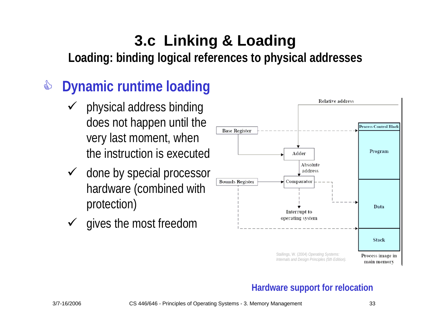## **3.c Linking & Loading**

**Loading: binding logical references to physical addresses**

#### &**Dynamic runtime loading**

- $\checkmark$  physical address binding does not happen until the very last moment, when the instruction is executed
- $\checkmark$  done by special processor hardware (combined with protection)
- $\checkmark$ gives the most freedom



#### **Hardware support for relocation**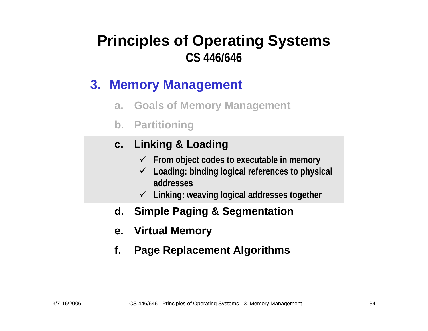### **3. Memory Management**

- **a.Goals of Memory Management**
- **b. Partitioning**

#### **c. Linking & Loading**

- 9 **From object codes to executable i n memory**
- 9 **Loading: binding logical references to physical addresses**
- 9 **Linking: weaving logical addresses together**
- **d. Simple Paging & Segmentation**
- **e. Virtual Memory**
- **f.Page Replacement Algorithms**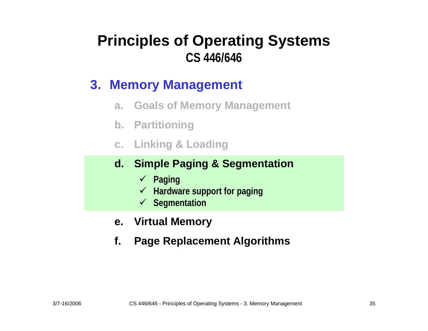### **3. Memory Management**

- **a.Goals of Memory Management**
- **b. Partitioning**
- **c. Linking & Loading**

#### **d. Simple Paging & Segmentation**

- 9 **Paging**
- 9 **Hardware support for paging**
- 9 **Segmentation**
- **e. Virtual Memory**
- **f.Page Replacement Algorithms**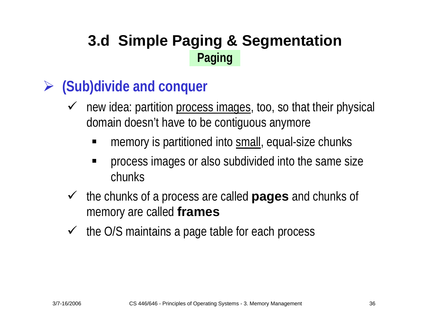### ¾ **(Sub)divide and conquer**

- $\checkmark$  new idea: partition process images, too, so that their physical domain doesn't have to be contiguous anymore
	- ٠ memory is partitioned into small, equal-size chunks
	- process images or also subdivided into the same size chunks
- $\sqrt{ }$  the chunks of a process are called **pages** and chunks of memory are called **frames**
- $\sqrt{ }$ the O/S maintains a page table for each process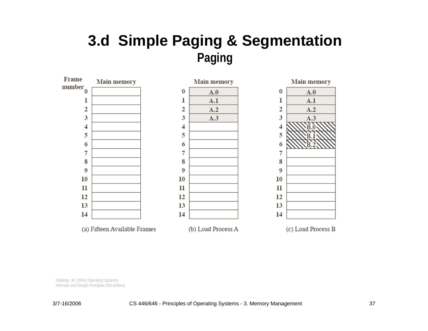

Stallings, W. (2004) *Operating Systems: Internals and Design Principles (5th Edition).*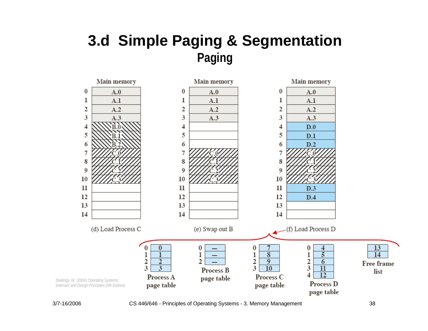

3/7-16/2006 CS 446/646 - Principles of Operating Systems - 3. Memory Management 38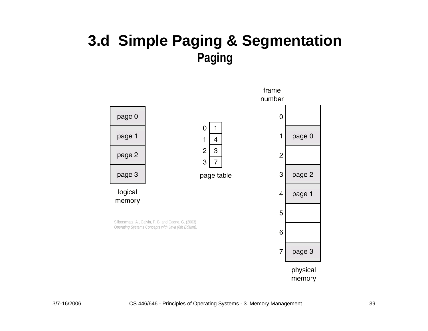

memory

frame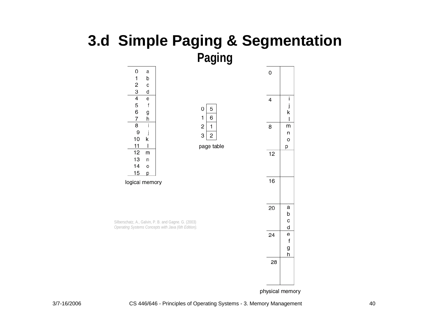

physical memory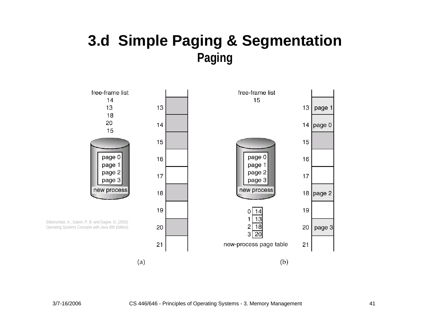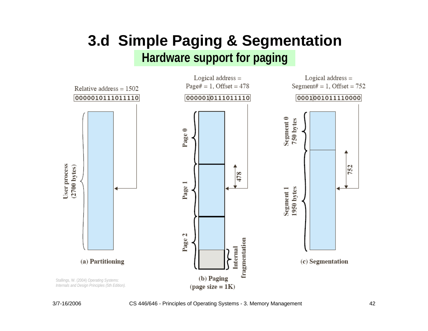### **3.d Simple Paging & Segmentation Hardware support for paging**

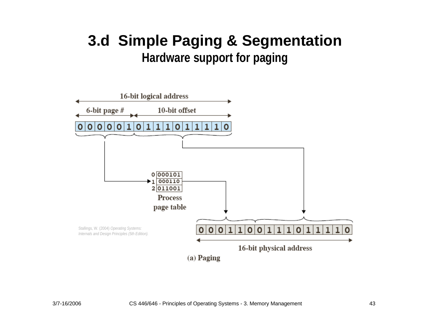### **3.d Simple Paging & Segmentation Hardware support for paging**

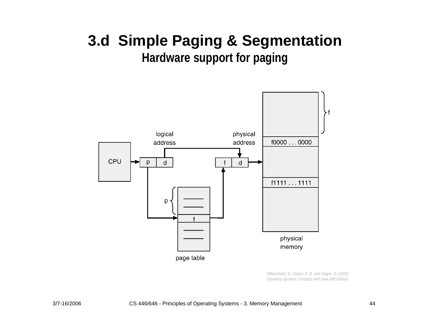### **3.d Simple Paging & Segmentation Hardware support for paging**



Silberschatz, A., Galvin, P. B. and Gagne. G. (2003) *Operating Systems Concepts with Java (6th Edition).*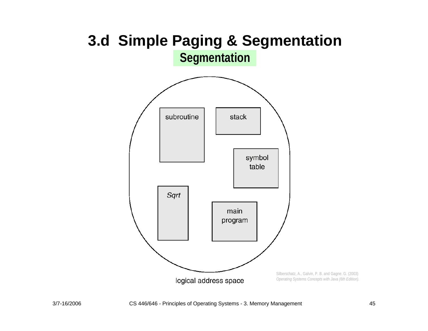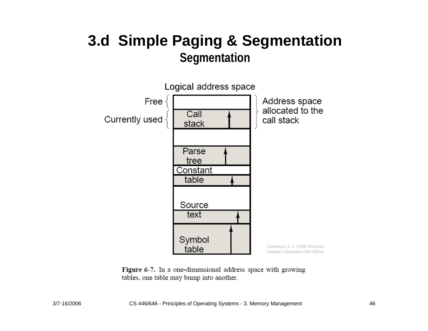

Figure 6-7. In a one-dimensional address space with growing tables, one table may bump into another.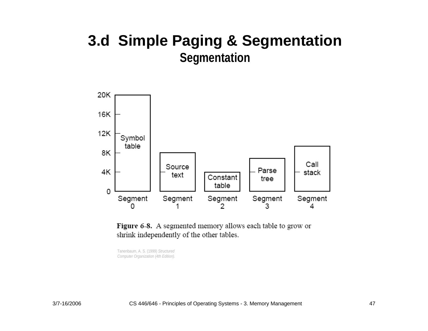

Figure 6-8. A segmented memory allows each table to grow or shrink independently of the other tables.

Tanenbaum, A. S. (1999) *Structured Computer Organization (4th Edition).*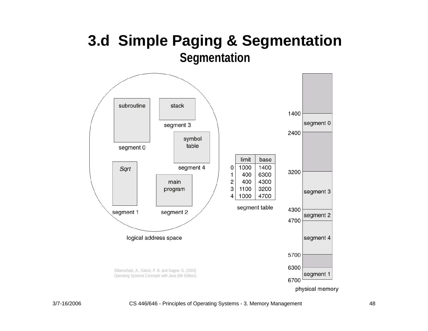

physical memory

#### 3/7-16/2006 CS 446/646 - Principles of Operating Systems - 3. Memory Management 48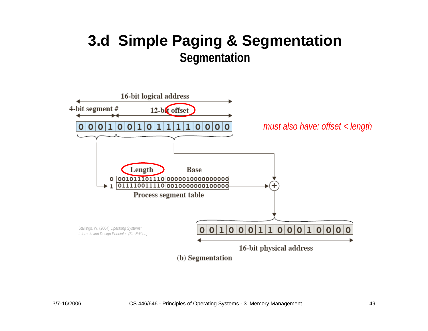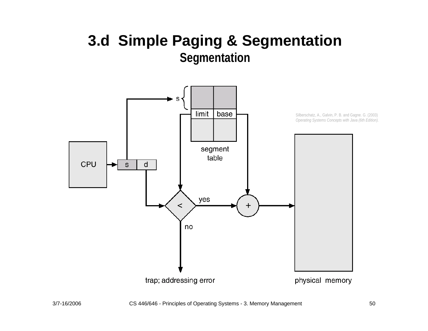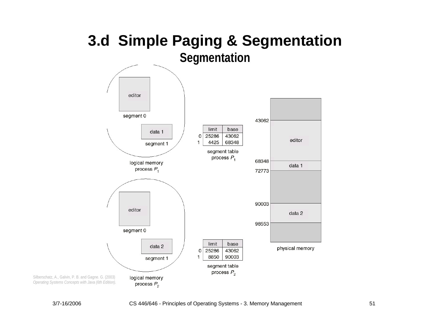